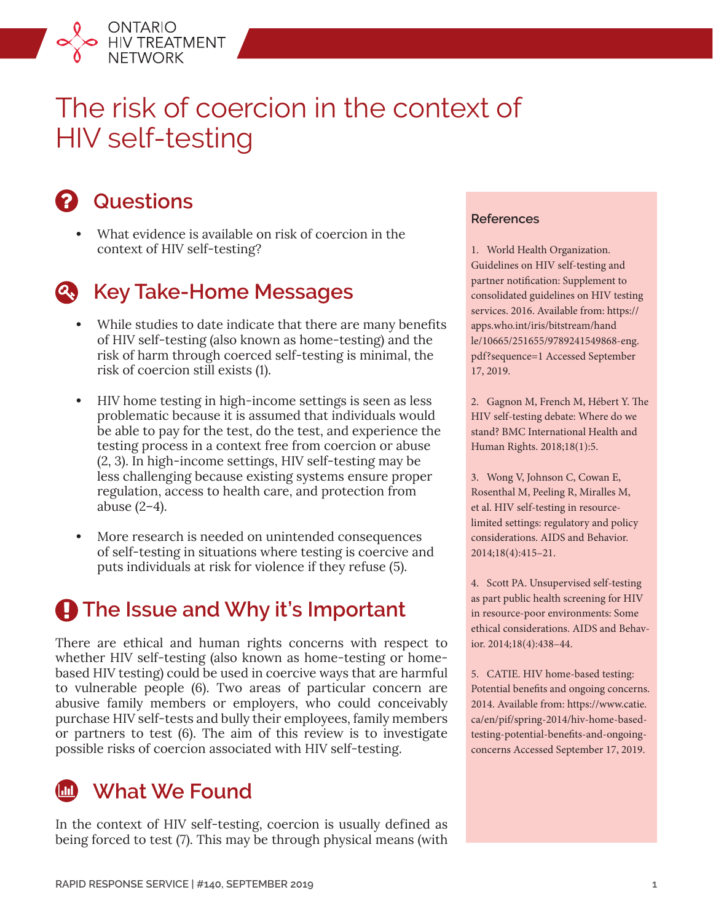

# The risk of coercion in the context of HIV self-testing



### **Questions**

**•** What evidence is available on risk of coercion in the context of HIV self-testing?



### **Key Take-Home Messages**

- **•** While studies to date indicate that there are many benefits of HIV self-testing (also known as home-testing) and the risk of harm through coerced self-testing is minimal, the risk of coercion still exists (1).
- **•** HIV home testing in high-income settings is seen as less problematic because it is assumed that individuals would be able to pay for the test, do the test, and experience the testing process in a context free from coercion or abuse (2, 3). In high-income settings, HIV self-testing may be less challenging because existing systems ensure proper regulation, access to health care, and protection from abuse (2–4).
- **•** More research is needed on unintended consequences of self-testing in situations where testing is coercive and puts individuals at risk for violence if they refuse (5).

## $\bigoplus$  **The Issue and Why it's Important**

There are ethical and human rights concerns with respect to whether HIV self-testing (also known as home-testing or homebased HIV testing) could be used in coercive ways that are harmful to vulnerable people (6). Two areas of particular concern are abusive family members or employers, who could conceivably purchase HIV self-tests and bully their employees, family members or partners to test (6). The aim of this review is to investigate possible risks of coercion associated with HIV self-testing.



In the context of HIV self-testing, coercion is usually defined as being forced to test (7). This may be through physical means (with

### **References**

1. World Health Organization. Guidelines on HIV self-testing and partner notification: Supplement to consolidated guidelines on HIV testing services. 2016. Available from: [https://](https://apps.who.int/iris/bitstream/handle/10665/251655/9789241549868-eng.pdf?sequence=1) [apps.who.int/iris/bitstream/hand](https://apps.who.int/iris/bitstream/handle/10665/251655/9789241549868-eng.pdf?sequence=1) [le/10665/251655/9789241549868-eng.](https://apps.who.int/iris/bitstream/handle/10665/251655/9789241549868-eng.pdf?sequence=1) [pdf?sequence=1](https://apps.who.int/iris/bitstream/handle/10665/251655/9789241549868-eng.pdf?sequence=1) Accessed September 17, 2019.

2. Gagnon M, French M, Hébert Y. The HIV self-testing debate: Where do we stand? BMC International Health and Human Rights. 2018;18(1):5.

3. Wong V, Johnson C, Cowan E, Rosenthal M, Peeling R, Miralles M, et al. HIV self-testing in resourcelimited settings: regulatory and policy considerations. AIDS and Behavior. 2014;18(4):415–21.

4. Scott PA. Unsupervised self-testing as part public health screening for HIV in resource-poor environments: Some ethical considerations. AIDS and Behavior. 2014;18(4):438–44.

5. CATIE. HIV home-based testing: Potential benefits and ongoing concerns. 2014. Available from: [https://www.catie.](https://www.catie.ca/en/pif/spring-2014/hiv-home-based-testing-potential-benefits-and-ongoing-concerns) [ca/en/pif/spring-2014/hiv-home-based](https://www.catie.ca/en/pif/spring-2014/hiv-home-based-testing-potential-benefits-and-ongoing-concerns)[testing-potential-benefits-and-ongoing](https://www.catie.ca/en/pif/spring-2014/hiv-home-based-testing-potential-benefits-and-ongoing-concerns)[concerns](https://www.catie.ca/en/pif/spring-2014/hiv-home-based-testing-potential-benefits-and-ongoing-concerns) Accessed September 17, 2019.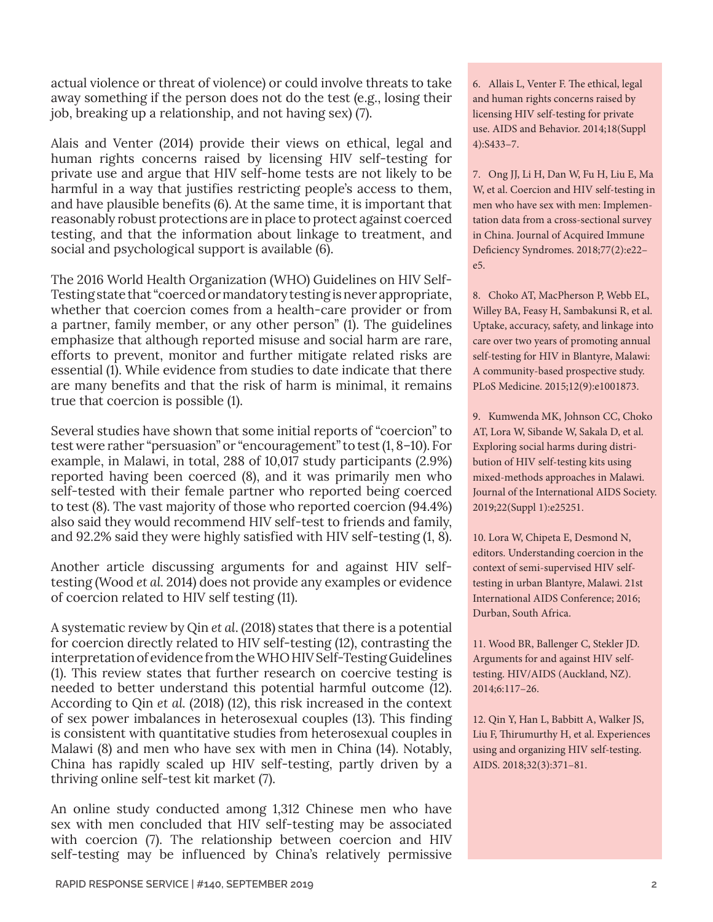actual violence or threat of violence) or could involve threats to take away something if the person does not do the test (e.g., losing their job, breaking up a relationship, and not having sex) (7).

Alais and Venter (2014) provide their views on ethical, legal and human rights concerns raised by licensing HIV self-testing for private use and argue that HIV self-home tests are not likely to be harmful in a way that justifies restricting people's access to them, and have plausible benefits (6). At the same time, it is important that reasonably robust protections are in place to protect against coerced testing, and that the information about linkage to treatment, and social and psychological support is available (6).

The 2016 World Health Organization (WHO) Guidelines on HIV Self-Testing state that "coerced or mandatory testing is never appropriate, whether that coercion comes from a health-care provider or from a partner, family member, or any other person" (1). The guidelines emphasize that although reported misuse and social harm are rare, efforts to prevent, monitor and further mitigate related risks are essential (1). While evidence from studies to date indicate that there are many benefits and that the risk of harm is minimal, it remains true that coercion is possible (1).

Several studies have shown that some initial reports of "coercion" to test were rather "persuasion" or "encouragement" to test (1, 8–10). For example, in Malawi, in total, 288 of 10,017 study participants (2.9%) reported having been coerced (8), and it was primarily men who self-tested with their female partner who reported being coerced to test (8). The vast majority of those who reported coercion (94.4%) also said they would recommend HIV self-test to friends and family, and 92.2% said they were highly satisfied with HIV self-testing (1, 8).

Another article discussing arguments for and against HIV selftesting (Wood *et al.* 2014) does not provide any examples or evidence of coercion related to HIV self testing (11).

A systematic review by Qin *et al*. (2018) states that there is a potential for coercion directly related to HIV self-testing (12), contrasting the interpretation of evidence from the WHO HIV Self-Testing Guidelines (1). This review states that further research on coercive testing is needed to better understand this potential harmful outcome (12). According to Qin *et al.* (2018) (12), this risk increased in the context of sex power imbalances in heterosexual couples (13). This finding is consistent with quantitative studies from heterosexual couples in Malawi (8) and men who have sex with men in China (14). Notably, China has rapidly scaled up HIV self-testing, partly driven by a thriving online self-test kit market (7).

An online study conducted among 1,312 Chinese men who have sex with men concluded that HIV self-testing may be associated with coercion (7). The relationship between coercion and HIV self-testing may be influenced by China's relatively permissive 6. Allais L, Venter F. The ethical, legal and human rights concerns raised by licensing HIV self-testing for private use. AIDS and Behavior. 2014;18(Suppl 4):S433–7.

7. Ong JJ, Li H, Dan W, Fu H, Liu E, Ma W, et al. Coercion and HIV self-testing in men who have sex with men: Implementation data from a cross-sectional survey in China. Journal of Acquired Immune Deficiency Syndromes. 2018;77(2):e22– e5.

8. Choko AT, MacPherson P, Webb EL, Willey BA, Feasy H, Sambakunsi R, et al. Uptake, accuracy, safety, and linkage into care over two years of promoting annual self-testing for HIV in Blantyre, Malawi: A community-based prospective study. PLoS Medicine. 2015;12(9):e1001873.

9. Kumwenda MK, Johnson CC, Choko AT, Lora W, Sibande W, Sakala D, et al. Exploring social harms during distribution of HIV self-testing kits using mixed-methods approaches in Malawi. Journal of the International AIDS Society. 2019;22(Suppl 1):e25251.

10. Lora W, Chipeta E, Desmond N, editors. Understanding coercion in the context of semi-supervised HIV selftesting in urban Blantyre, Malawi. 21st International AIDS Conference; 2016; Durban, South Africa.

11. Wood BR, Ballenger C, Stekler JD. Arguments for and against HIV selftesting. HIV/AIDS (Auckland, NZ). 2014;6:117–26.

12. Qin Y, Han L, Babbitt A, Walker JS, Liu F, Thirumurthy H, et al. Experiences using and organizing HIV self-testing. AIDS. 2018;32(3):371–81.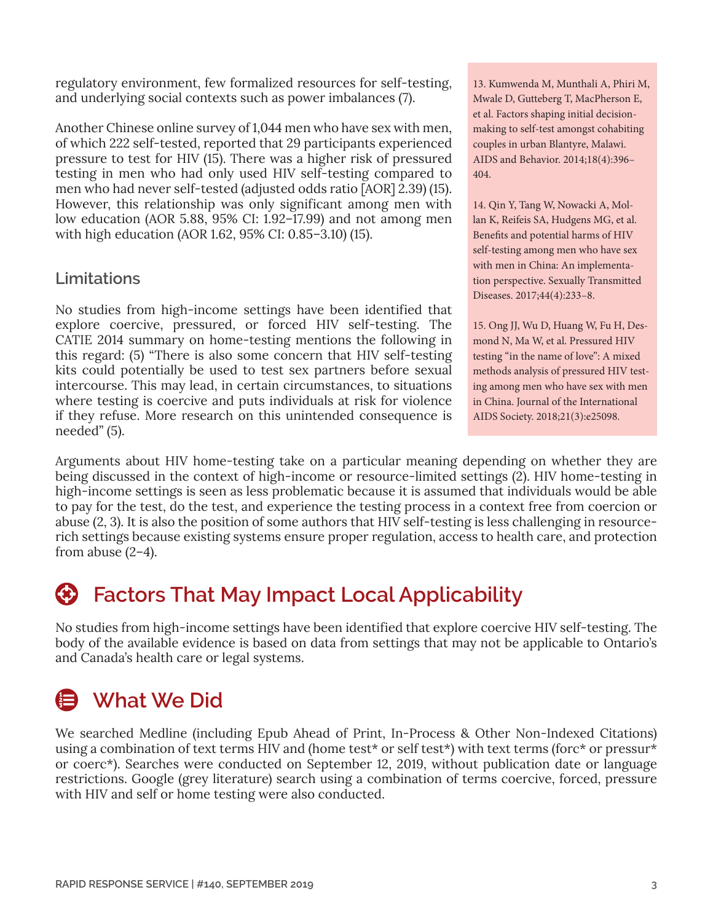regulatory environment, few formalized resources for self-testing, and underlying social contexts such as power imbalances (7).

Another Chinese online survey of 1,044 men who have sex with men, of which 222 self-tested, reported that 29 participants experienced pressure to test for HIV (15). There was a higher risk of pressured testing in men who had only used HIV self-testing compared to men who had never self-tested (adjusted odds ratio [AOR] 2.39) (15). However, this relationship was only significant among men with low education (AOR 5.88, 95% CI: 1.92–17.99) and not among men with high education (AOR 1.62, 95% CI: 0.85–3.10) (15).

### **Limitations**

No studies from high-income settings have been identified that explore coercive, pressured, or forced HIV self-testing. The CATIE 2014 summary on home-testing mentions the following in this regard: (5) "There is also some concern that HIV self-testing kits could potentially be used to test sex partners before sexual intercourse. This may lead, in certain circumstances, to situations where testing is coercive and puts individuals at risk for violence if they refuse. More research on this unintended consequence is needed" (5).

13. Kumwenda M, Munthali A, Phiri M, Mwale D, Gutteberg T, MacPherson E, et al. Factors shaping initial decisionmaking to self-test amongst cohabiting couples in urban Blantyre, Malawi. AIDS and Behavior. 2014;18(4):396– 404.

14. Qin Y, Tang W, Nowacki A, Mollan K, Reifeis SA, Hudgens MG, et al. Benefits and potential harms of HIV self-testing among men who have sex with men in China: An implementation perspective. Sexually Transmitted Diseases. 2017;44(4):233–8.

15. Ong JJ, Wu D, Huang W, Fu H, Desmond N, Ma W, et al. Pressured HIV testing "in the name of love": A mixed methods analysis of pressured HIV testing among men who have sex with men in China. Journal of the International AIDS Society. 2018;21(3):e25098.

Arguments about HIV home-testing take on a particular meaning depending on whether they are being discussed in the context of high-income or resource-limited settings (2). HIV home-testing in high-income settings is seen as less problematic because it is assumed that individuals would be able to pay for the test, do the test, and experience the testing process in a context free from coercion or abuse (2, 3). It is also the position of some authors that HIV self-testing is less challenging in resourcerich settings because existing systems ensure proper regulation, access to health care, and protection from abuse  $(2-4)$ .

## **Factors That May Impact Local Applicability**

No studies from high-income settings have been identified that explore coercive HIV self-testing. The body of the available evidence is based on data from settings that may not be applicable to Ontario's and Canada's health care or legal systems.

## **What We Did**

We searched Medline (including Epub Ahead of Print, In-Process & Other Non-Indexed Citations) using a combination of text terms HIV and (home test\* or self test\*) with text terms (forc\* or pressur\* or coerc\*). Searches were conducted on September 12, 2019, without publication date or language restrictions. Google (grey literature) search using a combination of terms coercive, forced, pressure with HIV and self or home testing were also conducted.